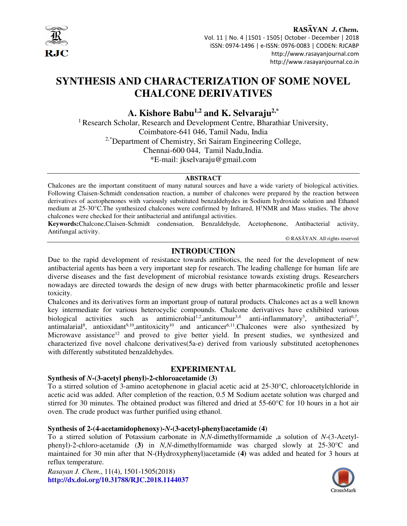

#### RASAYAN J. Chem.

 Vol. 11 | No. 4 |1501 - 1505| October - December | 2018 ISSN: 0974-1496 | e-ISSN: 0976-0083 | CODEN: RJCABP http://www.rasayanjournal.com http://www.rasayanjournal.co.in

# **SYNTHESIS AND CHARACTERIZATION OF SOME NOVEL CHALCONE DERIVATIVES**

**A. Kishore Babu1,2 and K. Selvaraju2,\*** 

<sup>1</sup> Research Scholar, Research and Development Centre, Bharathiar University, Coimbatore-641 046, Tamil Nadu, India <sup>2,\*</sup>Department of Chemistry, Sri Sairam Engineering College, Chennai-600 044, Tamil Nadu,India. \*E-mail: jkselvaraju@gmail.com

**ABSTRACT** 

Chalcones are the important constituent of many natural sources and have a wide variety of biological activities. Following Claisen-Schmidt condensation reaction, a number of chalcones were prepared by the reaction between derivatives of acetophenones with variously substituted benzaldehydes in Sodium hydroxide solution and Ethanol medium at 25-30°C.The synthesized chalcones were confirmed by Infrared, H<sup>1</sup>NMR and Mass studies. The above chalcones were checked for their antibacterial and antifungal activities.

**Keywords:**Chalcone,Claisen-Schmidt condensation, Benzaldehyde, Acetophenone, Antibacterial activity, Antifungal activity.

© RASĀYAN. All rights reserved

# **INTRODUCTION**

Due to the rapid development of resistance towards antibiotics, the need for the development of new antibacterial agents has been a very important step for research. The leading challenge for human life are diverse diseases and the fast development of microbial resistance towards existing drugs. Researchers nowadays are directed towards the design of new drugs with better pharmacokinetic profile and lesser toxicity.

Chalcones and its derivatives form an important group of natural products. Chalcones act as a well known key intermediate for various heterocyclic compounds. Chalcone derivatives have exhibited various biological activities such as antimicrobial<sup>1,2</sup>, antitumour<sup>3,4</sup> anti-inflammatory<sup>5</sup>, antibacterial<sup>6,7</sup>, antimalarial<sup>8</sup>, antioxidant<sup>9,10</sup>,antitoxicity<sup>10</sup> and anticancer<sup>6,11</sup>. Chalcones were also synthesized by Microwave assistance<sup>12</sup> and proved to give better yield. In present studies, we synthesized and characterized five novel chalcone derivatives(5a-e) derived from variously substituted acetophenones with differently substituted benzaldehydes.

# **EXPERIMENTAL**

## **Synthesis of** *N***-(3-acetyl phenyl)-2-chloroacetamide (3)**

To a stirred solution of 3-amino acetophenone in glacial acetic acid at 25-30°C, chloroacetylchloride in acetic acid was added. After completion of the reaction, 0.5 M Sodium acetate solution was charged and stirred for 30 minutes. The obtained product was filtered and dried at 55-60°C for 10 hours in a hot air oven. The crude product was further purified using ethanol.

## **Synthesis of 2-(4-acetamidophenoxy)-***N***-(3-acetyl-phenyl)acetamide (4)**

To a stirred solution of Potassium carbonate in *N,N*-dimethylformamide ,a solution of *N*-(3-Acetylphenyl)-2-chloro-acetamide (**3)** in *N,N*-dimethylformamide was charged slowly at 25-30°C and maintained for 30 min after that N-(Hydroxyphenyl)acetamide (**4)** was added and heated for 3 hours at reflux temperature.

*Rasayan J. Chem*., 11(4), 1501-1505(2018) **http://dx.doi.org/10.31788/RJC.2018.1144037**

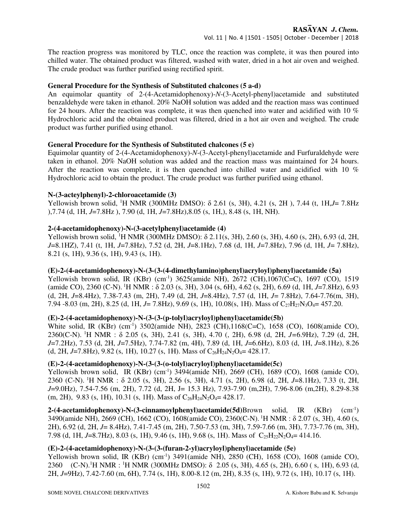The reaction progress was monitored by TLC, once the reaction was complete, it was then poured into chilled water. The obtained product was filtered, washed with water, dried in a hot air oven and weighed. The crude product was further purified using rectified spirit.

## **General Procedure for the Synthesis of Substituted chalcones (5 a-d)**

An equimolar quantity of 2-(4-Acetamidophenoxy)-*N*-(3-Acetyl-phenyl)acetamide and substituted benzaldehyde were taken in ethanol. 20% NaOH solution was added and the reaction mass was continued for 24 hours. After the reaction was complete, it was then quenched into water and acidified with 10 % Hydrochloric acid and the obtained product was filtered, dried in a hot air oven and weighed. The crude product was further purified using ethanol.

# **General Procedure for the Synthesis of Substituted chalcones (5 e)**

Equimolar quantity of 2-(4-Acetamidophenoxy)-*N*-(3-Acetyl-phenyl)acetamide and Furfuraldehyde were taken in ethanol. 20% NaOH solution was added and the reaction mass was maintained for 24 hours. After the reaction was complete, it is then quenched into chilled water and acidified with 10 % Hydrochloric acid to obtain the product. The crude product was further purified using ethanol.

## **N-(3-acteylphenyl)-2-chloroacetamide (3)**

Yellowish brown solid, <sup>1</sup>H NMR (300MHz DMSO): δ 2.61 (s, 3H), 4.21 (s, 2H ), 7.44 (t, 1H,*J*= 7.8Hz ),7.74 (d, 1H, *J*=7.8Hz ), 7.90 (d, 1H, *J*=7.8Hz),8.05 (s, 1H,), 8.48 (s, 1H, NH).

# **2-(4-acetamidophenoxy)-N-(3-acetylphenyl)acetamide (4)**

Yellowish brown solid, <sup>1</sup>H NMR (300MHz DMSO): δ 2.11(s, 3H), 2.60 (s, 3H), 4.60 (s, 2H), 6.93 (d, 2H, *J*=8.1HZ), 7.41 (t, 1H, *J*=7.8Hz), 7.52 (d, 2H, *J*=8.1Hz), 7.68 (d, 1H, *J*=7.8Hz), 7.96 (d, 1H, *J*= 7.8Hz), 8.21 (s, 1H), 9.36 (s, 1H), 9.43 (s, 1H).

# **(E)-2-(4-acetamidophenoxy)-N-(3-(3-(4-dimethylamino)phenyl)acryloyl)phenyl)acetamide (5a)**

Yellowish brown solid, IR (KBr) (cm-1) 3625(amide NH), 2672 (CH),1067(C=C), 1697 (CO), 1519 (amide CO), 2360 (C-N).<sup>1</sup>H NMR : δ 2.03 (s, 3H), 3.04 (s, 6H), 4.62 (s, 2H), 6.69 (d, 1H, *J*=7.8Hz), 6.93 (d, 2H, *J*=8.4Hz), 7.38-7.43 (m, 2H), 7.49 (d, 2H, *J*=8.4Hz), 7.57 (d, 1H, *J*= 7.8Hz), 7.64-7.76(m, 3H), 7.94 -8.03 (m, 2H), 8.25 (d, 1H, *J*= 7.8Hz), 9.69 (s, 1H), 10.08(s, 1H). Mass of C<sub>27</sub>H<sub>27</sub>N<sub>3</sub>O<sub>4</sub>= 457.20.

## **(E)-2-(4-acetamidophenoxy)-N-(3-(3-(p-tolyl)acryloyl)phenyl)acetamide(5b)**

White solid, IR (KBr) (cm<sup>-1</sup>) 3502(amide NH), 2823 (CH), 1168(C=C), 1658 (CO), 1608(amide CO), 2360(C-N).<sup>1</sup>H NMR : δ 2.05 (s, 3H), 2.41 (s, 3H), 4.70 (, 2H), 6.98 (d, 2H, *J=*6.9Hz), 7.29 (d, 2H, *J*=7.2Hz), 7.53 (d, 2H, *J*=7.5Hz), 7.74-7.82 (m, 4H), 7.89 (d, 1H, *J*=6.6Hz), 8.03 (d, 1H, *J*=8.1Hz), 8.26 (d, 2H, *J*=7.8Hz), 9.82 (s, 1H), 10.27 (s, 1H). Mass of  $C_{26}H_{24}N_2O_4 = 428.17$ .

## **(E)-2-(4-acetamidophenoxy)-N-(3-(3-(o-tolyl)acryloyl)phenyl)acetamide(5c)**

Yellowish brown solid, IR (KBr) (cm-1) 3494(amide NH), 2669 (CH), 1689 (CO), 1608 (amide CO), 2360 (C-N).<sup>1</sup>H NMR : δ 2.05 (s, 3H), 2.56 (s, 3H), 4.71 (s, 2H), 6.98 (d, 2H, *J*=8.1Hz), 7.33 (t, 2H, *J*=9.0Hz), 7.54-7.56 (m, 2H), 7.72 (d, 2H, J= 15.3 Hz), 7.93-7.90 (m,2H), 7.96-8.06 (m,2H), 8.29-8.38 (m, 2H), 9.83 (s, 1H), 10.31 (s, 1H). Mass of  $C_{26}H_{24}N_2O_4 = 428.17$ .

**2-(4-acetamidophenoxy)-N-(3-cinnamoylphenyl)acetamide(5d)**Brown solid, IR (KBr) (cm-1) 3490(amide NH), 2669 (CH), 1662 (CO), 1608(amide CO), 2360(C-N).<sup>1</sup>H NMR : δ 2.07 (s, 3H), 4.60 (s, 2H), 6.92 (d, 2H, *J*= 8.4Hz), 7.41-7.45 (m, 2H), 7.50-7.53 (m, 3H), 7.59-7.66 (m, 3H), 7.73-7.76 (m, 3H), 7.98 (d, 1H, *J*=8.7Hz), 8.03 (s, 1H), 9.46 (s, 1H), 9.68 (s, 1H). Mass of C<sub>25</sub>H<sub>22</sub>N<sub>2</sub>O<sub>4</sub>= 414.16.

## **(E)-2-(4-acetamidophenoxy)-N-(3-(3-(furan-2-yl)acryloyl)phenyl)acetamide (5e)**

Yellowish brown solid, IR (KBr) (cm<sup>-1</sup>) 3491(amide NH), 2850 (CH), 1658 (CO), 1608 (amide CO), 2360 (C-N).<sup>1</sup>H NMR : <sup>1</sup>H NMR (300MHz DMSO): δ 2.05 (s, 3H), 4.65 (s, 2H), 6.60 ( s, 1H), 6.93 (d, 2H, *J*=9Hz), 7.42-7.60 (m, 6H), 7.74 (s, 1H), 8.00-8.12 (m, 2H), 8.35 (s, 1H), 9.72 (s, 1H), 10.17 (s, 1H).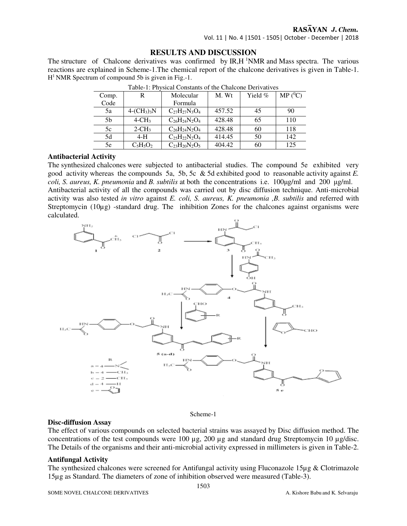# RASAYAN J. Chem.

Vol. 11 | No. 4 |1501 - 1505| October - December | 2018

#### **RESULTS AND DISCUSSION**

The structure of Chalcone derivatives was confirmed by  $IR, H<sup>1</sup>NMR$  and Mass spectra. The various reactions are explained in Scheme-1.The chemical report of the chalcone derivatives is given in Table-1.  $H<sup>1</sup> NMR$  Spectrum of compound 5b is given in Fig.-1.

| Comp. |                      | Molecular            | M. Wt  | Yield $%$ | $MP(^0C)$ |
|-------|----------------------|----------------------|--------|-----------|-----------|
| Code  |                      | Formula              |        |           |           |
| 5a    | $4-(CH_3)_3N$        | $C_{27}H_{27}N_3O_4$ | 457.52 | 45        | 90        |
| 5b    | $4$ -CH <sub>3</sub> | $C_{26}H_{24}N_2O_4$ | 428.48 | 65        | 110       |
| 5c    | $2$ -CH <sub>3</sub> | $C_{26}H_{24}N_2O_4$ | 428.48 | 60        | 118       |
| 5d    | $4-H$                | $C_{25}H_{22}N_2O_4$ | 414.45 | 50        | 142       |
| 5e    | $C_5H_5O_2$          | $C_{23}H_{20}N_2O_5$ | 404.42 | 60        | 125       |

Table-1: Physical Constants of the Chalcone Derivatives

#### **Antibacterial Activity**

The synthesized chalcones were subjected to antibacterial studies. The compound 5e exhibited very good activity whereas the compounds 5a, 5b, 5c & 5d exhibited good to reasonable activity against *E. coli, S. aureus, K. pneumonia* and *B. subtilis* at both the concentrations i.e. 100µg/ml and 200 µg/ml. Antibacterial activity of all the compounds was carried out by disc diffusion technique. Anti-microbial activity was also tested *in vitro* against *E. coli, S. aureus, K. pneumonia ,B. subtilis* and referred with Streptomycin  $(10\mu g)$  -standard drug. The inhibition Zones for the chalcones against organisms were calculated.



Scheme-1

#### **Disc-diffusion Assay**

The effect of various compounds on selected bacterial strains was assayed by Disc diffusion method. The concentrations of the test compounds were 100 µg, 200 µg and standard drug Streptomycin 10 µg/disc. The Details of the organisms and their anti-microbial activity expressed in millimeters is given in Table-2.

#### **Antifungal Activity**

The synthesized chalcones were screened for Antifungal activity using Fluconazole 15µg & Clotrimazole 15µg as Standard. The diameters of zone of inhibition observed were measured (Table-3).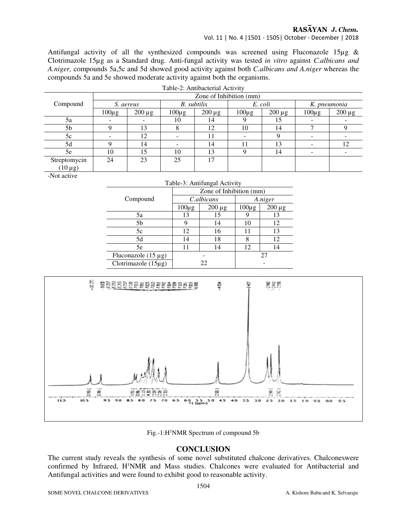# RASAYAN J. Chem.

Vol. 11 | No. 4 |1501 - 1505| October - December | 2018

Antifungal activity of all the synthesized compounds was screened using Fluconazole 15 $\mu$ g & Clotrimazole 15µg as a Standard drug. Anti-fungal activity was tested *in vitro* against *C.albicans and A.niger,* compounds 5a,5c and 5d showed good activity against both *C.albicans and A.niger* whereas the compounds 5a and 5e showed moderate activity against both the organisms.

| Table-2: Antibacterial Activity |                         |             |                    |             |                |             |              |             |  |
|---------------------------------|-------------------------|-------------|--------------------|-------------|----------------|-------------|--------------|-------------|--|
|                                 | Zone of Inhibition (mm) |             |                    |             |                |             |              |             |  |
| Compound                        | S. aereus               |             | <b>B.</b> subtilis |             | E. coli        |             | K. pneumonia |             |  |
|                                 | $100\mu$ g              | $200 \mu g$ | $100\mu$ g         | $200 \mu g$ | $100\mu g$     | $200 \mu g$ | $100\mu g$   | $200 \mu g$ |  |
| 5a                              |                         |             | 10                 | 14          |                | 15          |              |             |  |
| 5 <sub>b</sub>                  |                         | 13          |                    | 12          | 10             | 14          |              |             |  |
| 5c                              |                         | 12          |                    |             |                | Q           |              |             |  |
| 5d                              |                         | 14          |                    | 14          | $\overline{1}$ | 13          |              | 12          |  |
| 5e                              | 10                      | 15          | 10                 | 13          |                | 14          |              |             |  |
| Streptomycin                    | 24                      | 23          | 25                 | 17          |                |             |              |             |  |
| $(10 \mu g)$                    |                         |             |                    |             |                |             |              |             |  |

-Not active

| Table-3: Antifungal Activity |                         |             |            |             |  |  |
|------------------------------|-------------------------|-------------|------------|-------------|--|--|
|                              | Zone of Inhibition (mm) |             |            |             |  |  |
| Compound                     | C.albicans              |             | A.niger    |             |  |  |
|                              | $100\mu$ g              | $200 \mu g$ | $100\mu g$ | $200 \mu g$ |  |  |
| 5a                           | 13                      | 15          |            | 13          |  |  |
| 5b                           |                         | 14          | 10         | 12          |  |  |
| 5c                           | 12                      | 16          | 11         | 13          |  |  |
| 5d                           | 14                      | 18          | 8          | 12          |  |  |
| 5e                           | 11                      | 14          | 12         | 14          |  |  |
| Fluconazole $(15 \mu g)$     |                         |             | 27         |             |  |  |
| Clotrimazole $(15\mu g)$     | 22                      |             |            |             |  |  |



Fig.-1:H<sup>1</sup>NMR Spectrum of compound 5b

#### **CONCLUSION**

The current study reveals the synthesis of some novel substituted chalcone derivatives. Chalconeswere confirmed by Infrared, H<sup>1</sup>NMR and Mass studies. Chalcones were evaluated for Antibacterial and Antifungal activities and were found to exhibit good to reasonable activity.